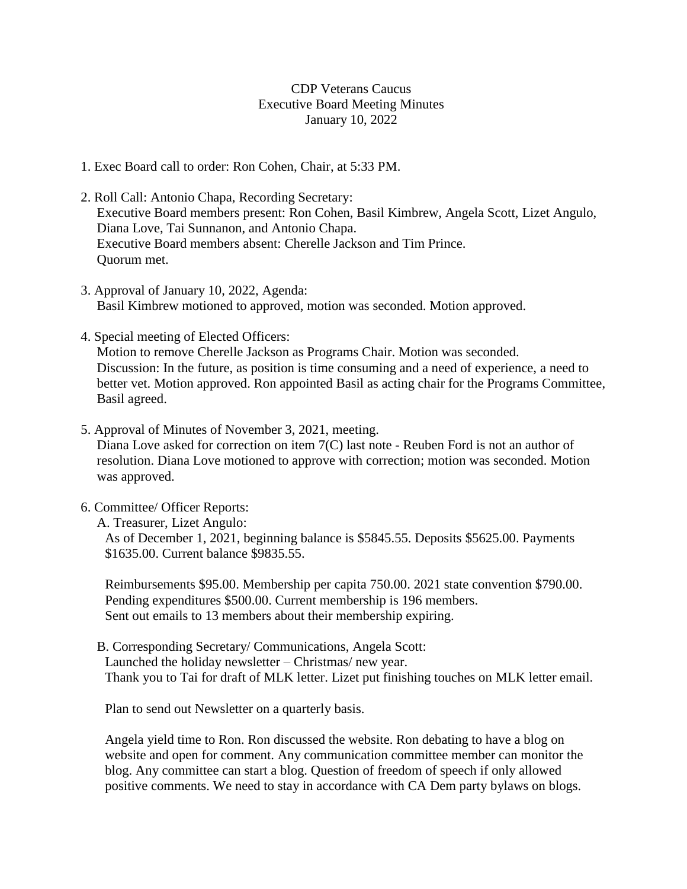## CDP Veterans Caucus Executive Board Meeting Minutes January 10, 2022

- 1. Exec Board call to order: Ron Cohen, Chair, at 5:33 PM.
- 2. Roll Call: Antonio Chapa, Recording Secretary: Executive Board members present: Ron Cohen, Basil Kimbrew, Angela Scott, Lizet Angulo, Diana Love, Tai Sunnanon, and Antonio Chapa. Executive Board members absent: Cherelle Jackson and Tim Prince. Quorum met.
- 3. Approval of January 10, 2022, Agenda: Basil Kimbrew motioned to approved, motion was seconded. Motion approved.
- 4. Special meeting of Elected Officers:

Motion to remove Cherelle Jackson as Programs Chair. Motion was seconded. Discussion: In the future, as position is time consuming and a need of experience, a need to better vet. Motion approved. Ron appointed Basil as acting chair for the Programs Committee, Basil agreed.

5. Approval of Minutes of November 3, 2021, meeting.

Diana Love asked for correction on item 7(C) last note - Reuben Ford is not an author of resolution. Diana Love motioned to approve with correction; motion was seconded. Motion was approved.

- 6. Committee/ Officer Reports:
	- A. Treasurer, Lizet Angulo:

As of December 1, 2021, beginning balance is \$5845.55. Deposits \$5625.00. Payments \$1635.00. Current balance \$9835.55.

Reimbursements \$95.00. Membership per capita 750.00. 2021 state convention \$790.00. Pending expenditures \$500.00. Current membership is 196 members. Sent out emails to 13 members about their membership expiring.

B. Corresponding Secretary/ Communications, Angela Scott: Launched the holiday newsletter – Christmas/ new year. Thank you to Tai for draft of MLK letter. Lizet put finishing touches on MLK letter email.

Plan to send out Newsletter on a quarterly basis.

Angela yield time to Ron. Ron discussed the website. Ron debating to have a blog on website and open for comment. Any communication committee member can monitor the blog. Any committee can start a blog. Question of freedom of speech if only allowed positive comments. We need to stay in accordance with CA Dem party bylaws on blogs.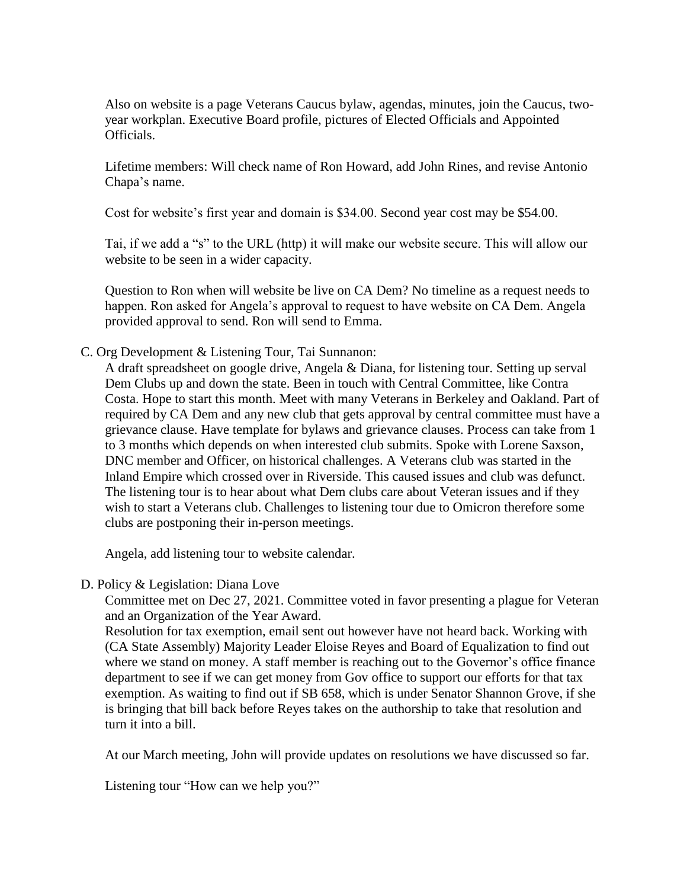Also on website is a page Veterans Caucus bylaw, agendas, minutes, join the Caucus, twoyear workplan. Executive Board profile, pictures of Elected Officials and Appointed Officials.

Lifetime members: Will check name of Ron Howard, add John Rines, and revise Antonio Chapa's name.

Cost for website's first year and domain is \$34.00. Second year cost may be \$54.00.

Tai, if we add a "s" to the URL (http) it will make our website secure. This will allow our website to be seen in a wider capacity.

Question to Ron when will website be live on CA Dem? No timeline as a request needs to happen. Ron asked for Angela's approval to request to have website on CA Dem. Angela provided approval to send. Ron will send to Emma.

C. Org Development & Listening Tour, Tai Sunnanon:

A draft spreadsheet on google drive, Angela & Diana, for listening tour. Setting up serval Dem Clubs up and down the state. Been in touch with Central Committee, like Contra Costa. Hope to start this month. Meet with many Veterans in Berkeley and Oakland. Part of required by CA Dem and any new club that gets approval by central committee must have a grievance clause. Have template for bylaws and grievance clauses. Process can take from 1 to 3 months which depends on when interested club submits. Spoke with Lorene Saxson, DNC member and Officer, on historical challenges. A Veterans club was started in the Inland Empire which crossed over in Riverside. This caused issues and club was defunct. The listening tour is to hear about what Dem clubs care about Veteran issues and if they wish to start a Veterans club. Challenges to listening tour due to Omicron therefore some clubs are postponing their in-person meetings.

Angela, add listening tour to website calendar.

## D. Policy & Legislation: Diana Love

Committee met on Dec 27, 2021. Committee voted in favor presenting a plague for Veteran and an Organization of the Year Award.

Resolution for tax exemption, email sent out however have not heard back. Working with (CA State Assembly) Majority Leader Eloise Reyes and Board of Equalization to find out where we stand on money. A staff member is reaching out to the Governor's office finance department to see if we can get money from Gov office to support our efforts for that tax exemption. As waiting to find out if SB 658, which is under Senator Shannon Grove, if she is bringing that bill back before Reyes takes on the authorship to take that resolution and turn it into a bill.

At our March meeting, John will provide updates on resolutions we have discussed so far.

Listening tour "How can we help you?"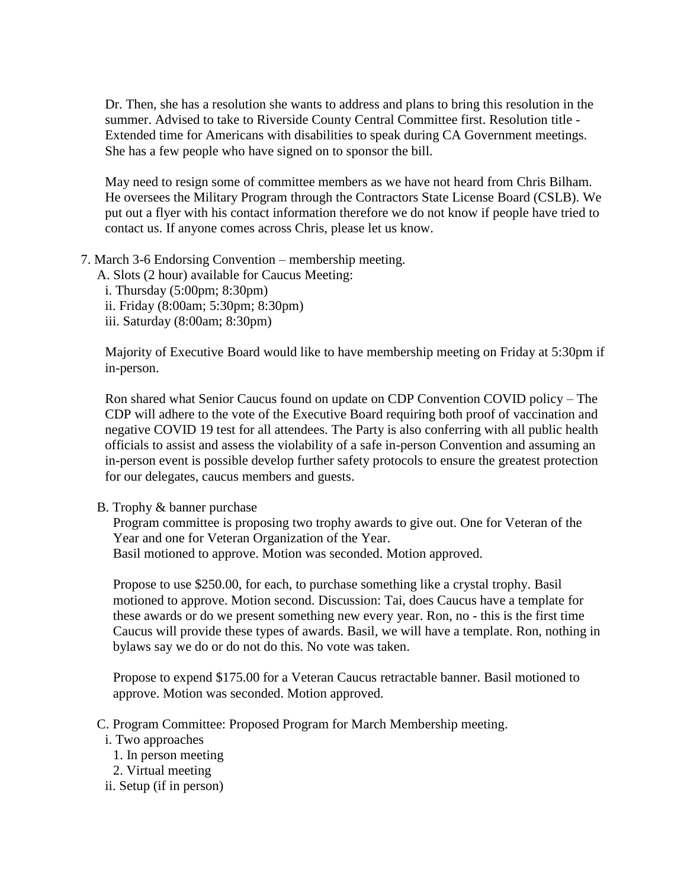Dr. Then, she has a resolution she wants to address and plans to bring this resolution in the summer. Advised to take to Riverside County Central Committee first. Resolution title - Extended time for Americans with disabilities to speak during CA Government meetings. She has a few people who have signed on to sponsor the bill.

May need to resign some of committee members as we have not heard from Chris Bilham. He oversees the Military Program through the Contractors State License Board (CSLB). We put out a flyer with his contact information therefore we do not know if people have tried to contact us. If anyone comes across Chris, please let us know.

- 7. March 3-6 Endorsing Convention membership meeting.
	- A. Slots (2 hour) available for Caucus Meeting:
		- i. Thursday (5:00pm; 8:30pm)
		- ii. Friday (8:00am; 5:30pm; 8:30pm)
		- iii. Saturday (8:00am; 8:30pm)

Majority of Executive Board would like to have membership meeting on Friday at 5:30pm if in-person.

Ron shared what Senior Caucus found on update on CDP Convention COVID policy – The CDP will adhere to the vote of the Executive Board requiring both proof of vaccination and negative COVID 19 test for all attendees. The Party is also conferring with all public health officials to assist and assess the violability of a safe in-person Convention and assuming an in-person event is possible develop further safety protocols to ensure the greatest protection for our delegates, caucus members and guests.

## B. Trophy & banner purchase

Program committee is proposing two trophy awards to give out. One for Veteran of the Year and one for Veteran Organization of the Year. Basil motioned to approve. Motion was seconded. Motion approved.

Propose to use \$250.00, for each, to purchase something like a crystal trophy. Basil motioned to approve. Motion second. Discussion: Tai, does Caucus have a template for these awards or do we present something new every year. Ron, no - this is the first time Caucus will provide these types of awards. Basil, we will have a template. Ron, nothing in bylaws say we do or do not do this. No vote was taken.

Propose to expend \$175.00 for a Veteran Caucus retractable banner. Basil motioned to approve. Motion was seconded. Motion approved.

- C. Program Committee: Proposed Program for March Membership meeting.
	- i. Two approaches
		- 1. In person meeting
	- 2. Virtual meeting
	- ii. Setup (if in person)